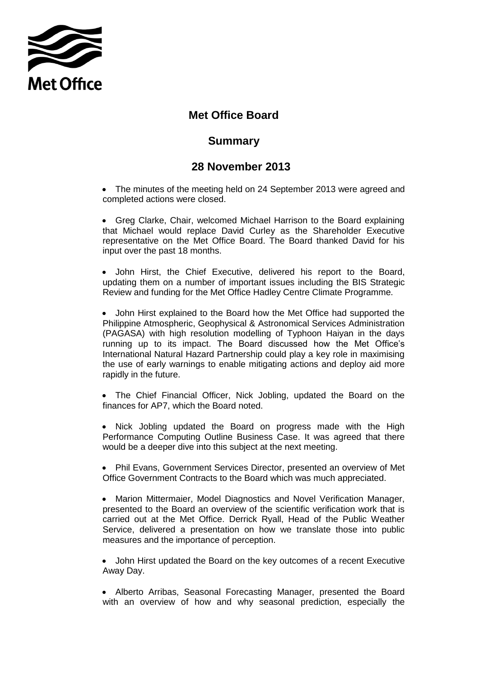

## **Met Office Board**

## **Summary**

## **28 November 2013**

• The minutes of the meeting held on 24 September 2013 were agreed and completed actions were closed.

 Greg Clarke, Chair, welcomed Michael Harrison to the Board explaining that Michael would replace David Curley as the Shareholder Executive representative on the Met Office Board. The Board thanked David for his input over the past 18 months.

 John Hirst, the Chief Executive, delivered his report to the Board, updating them on a number of important issues including the BIS Strategic Review and funding for the Met Office Hadley Centre Climate Programme.

 John Hirst explained to the Board how the Met Office had supported the Philippine Atmospheric, Geophysical & Astronomical Services Administration (PAGASA) with high resolution modelling of Typhoon Haiyan in the days running up to its impact. The Board discussed how the Met Office's International Natural Hazard Partnership could play a key role in maximising the use of early warnings to enable mitigating actions and deploy aid more rapidly in the future.

 The Chief Financial Officer, Nick Jobling, updated the Board on the finances for AP7, which the Board noted.

• Nick Jobling updated the Board on progress made with the High Performance Computing Outline Business Case. It was agreed that there would be a deeper dive into this subject at the next meeting.

 Phil Evans, Government Services Director, presented an overview of Met Office Government Contracts to the Board which was much appreciated.

 Marion Mittermaier, Model Diagnostics and Novel Verification Manager, presented to the Board an overview of the scientific verification work that is carried out at the Met Office. Derrick Ryall, Head of the Public Weather Service, delivered a presentation on how we translate those into public measures and the importance of perception.

 John Hirst updated the Board on the key outcomes of a recent Executive Away Day.

 Alberto Arribas, Seasonal Forecasting Manager, presented the Board with an overview of how and why seasonal prediction, especially the